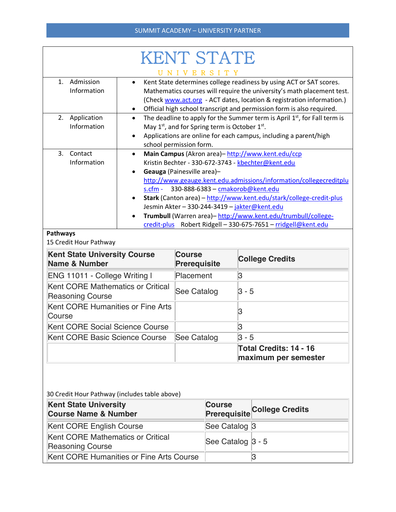| <b>KENT STATE</b>                                                                |                                                                                                                                                                                                                                                                                                                                                                                                                                                                                                                                   |                                      |                                                       |  |  |  |
|----------------------------------------------------------------------------------|-----------------------------------------------------------------------------------------------------------------------------------------------------------------------------------------------------------------------------------------------------------------------------------------------------------------------------------------------------------------------------------------------------------------------------------------------------------------------------------------------------------------------------------|--------------------------------------|-------------------------------------------------------|--|--|--|
| Admission<br>$\mathbf{1}$ .<br>Information                                       | NIVERSITY<br>Kent State determines college readiness by using ACT or SAT scores.<br>$\bullet$<br>Mathematics courses will require the university's math placement test.<br>(Check www.act.org - ACT dates, location & registration information.)<br>Official high school transcript and permission form is also required.                                                                                                                                                                                                         |                                      |                                                       |  |  |  |
| 2. Application<br>Information                                                    | The deadline to apply for the Summer term is April 1st, for Fall term is<br>$\bullet$<br>May 1 <sup>st</sup> , and for Spring term is October 1 <sup>st</sup> .<br>Applications are online for each campus, including a parent/high<br>school permission form.                                                                                                                                                                                                                                                                    |                                      |                                                       |  |  |  |
| 3.<br>Contact<br>Information                                                     | Main Campus (Akron area)-http://www.kent.edu/ccp<br>Kristin Bechter - 330-672-3743 - kbechter@kent.edu<br>Geauga (Painesville area)-<br>$\bullet$<br>http://www.geauge.kent.edu.admissions/information/collegecreditplu<br>330-888-6383 - cmakorob@kent.edu<br>$s.cfm -$<br>Stark (Canton area) - http://www.kent.edu/stark/college-credit-plus<br>Jesmin Akter - 330-244-3419 - jakter@kent.edu<br>Trumbull (Warren area)-http://www.kent.edu/trumbull/college-<br>credit-plus Robert Ridgell - 330-675-7651 - rridgell@kent.edu |                                      |                                                       |  |  |  |
| <b>Pathways</b><br>15 Credit Hour Pathway                                        |                                                                                                                                                                                                                                                                                                                                                                                                                                                                                                                                   |                                      |                                                       |  |  |  |
| <b>Kent State University Course</b><br><b>Name &amp; Number</b>                  |                                                                                                                                                                                                                                                                                                                                                                                                                                                                                                                                   | <b>Course</b><br><b>Prerequisite</b> | <b>College Credits</b>                                |  |  |  |
| ENG 11011 - College Writing I                                                    |                                                                                                                                                                                                                                                                                                                                                                                                                                                                                                                                   | Placement                            | 3                                                     |  |  |  |
| <b>Kent CORE Mathematics or Critical</b><br><b>Reasoning Course</b>              |                                                                                                                                                                                                                                                                                                                                                                                                                                                                                                                                   | See Catalog                          | $3 - 5$                                               |  |  |  |
| <b>Kent CORE Humanities or Fine Arts</b><br>Course                               |                                                                                                                                                                                                                                                                                                                                                                                                                                                                                                                                   |                                      | 3                                                     |  |  |  |
| <b>Kent CORE Social Science Course</b>                                           |                                                                                                                                                                                                                                                                                                                                                                                                                                                                                                                                   |                                      | 3                                                     |  |  |  |
| Kent CORE Basic Science Course                                                   |                                                                                                                                                                                                                                                                                                                                                                                                                                                                                                                                   | See Catalog                          | $3 - 5$                                               |  |  |  |
|                                                                                  |                                                                                                                                                                                                                                                                                                                                                                                                                                                                                                                                   |                                      | <b>Total Credits: 14 - 16</b><br>maximum per semester |  |  |  |
| 30 Credit Hour Pathway (includes table above)<br>Kent State University<br>COURSA |                                                                                                                                                                                                                                                                                                                                                                                                                                                                                                                                   |                                      |                                                       |  |  |  |

| <b>Kent State University</b><br><b>Course Name &amp; Number</b> | <b>Course</b>     | <b>Prerequisite College Credits</b> |
|-----------------------------------------------------------------|-------------------|-------------------------------------|
| Kent CORE English Course                                        | See Catalog 3     |                                     |
| Kent CORE Mathematics or Critical<br>Reasoning Course           | See Catalog 3 - 5 |                                     |
| Kent CORE Humanities or Fine Arts Course                        |                   |                                     |